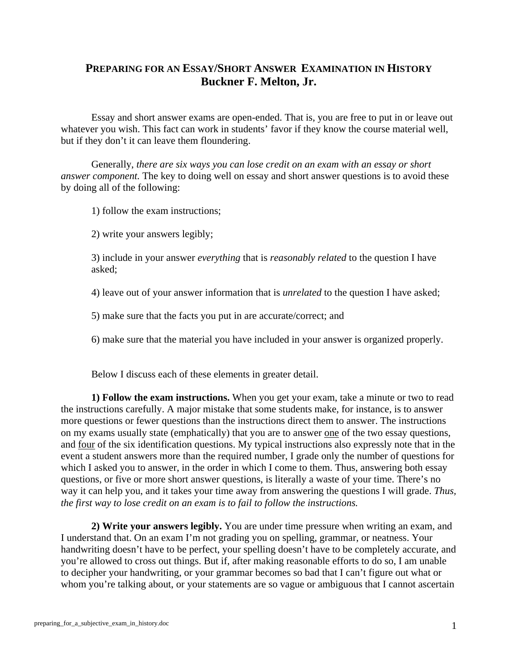## **PREPARING FOR AN ESSAY/SHORT ANSWER EXAMINATION IN HISTORY Buckner F. Melton, Jr.**

 Essay and short answer exams are open-ended. That is, you are free to put in or leave out whatever you wish. This fact can work in students' favor if they know the course material well, but if they don't it can leave them floundering.

 Generally, *there are six ways you can lose credit on an exam with an essay or short answer component.* The key to doing well on essay and short answer questions is to avoid these by doing all of the following:

1) follow the exam instructions;

2) write your answers legibly;

3) include in your answer *everything* that is *reasonably related* to the question I have asked;

4) leave out of your answer information that is *unrelated* to the question I have asked;

5) make sure that the facts you put in are accurate/correct; and

6) make sure that the material you have included in your answer is organized properly.

Below I discuss each of these elements in greater detail.

 **1) Follow the exam instructions.** When you get your exam, take a minute or two to read the instructions carefully. A major mistake that some students make, for instance, is to answer more questions or fewer questions than the instructions direct them to answer. The instructions on my exams usually state (emphatically) that you are to answer one of the two essay questions, and four of the six identification questions. My typical instructions also expressly note that in the event a student answers more than the required number, I grade only the number of questions for which I asked you to answer, in the order in which I come to them. Thus, answering both essay questions, or five or more short answer questions, is literally a waste of your time. There's no way it can help you, and it takes your time away from answering the questions I will grade. *Thus, the first way to lose credit on an exam is to fail to follow the instructions.*

 **2) Write your answers legibly.** You are under time pressure when writing an exam, and I understand that. On an exam I'm not grading you on spelling, grammar, or neatness. Your handwriting doesn't have to be perfect, your spelling doesn't have to be completely accurate, and you're allowed to cross out things. But if, after making reasonable efforts to do so, I am unable to decipher your handwriting, or your grammar becomes so bad that I can't figure out what or whom you're talking about, or your statements are so vague or ambiguous that I cannot ascertain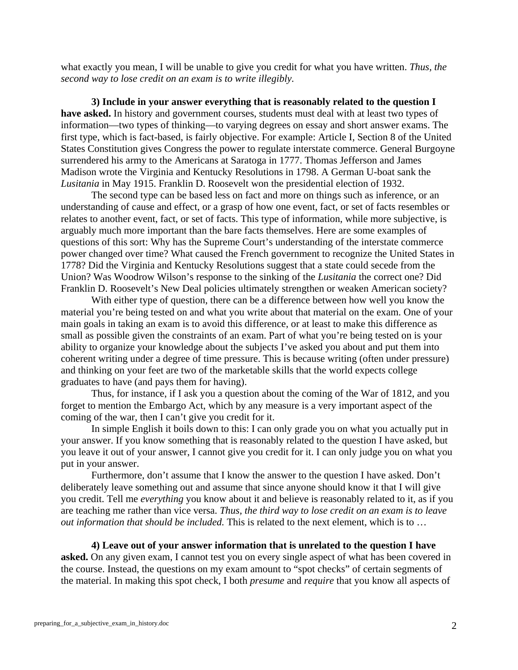what exactly you mean, I will be unable to give you credit for what you have written. *Thus, the second way to lose credit on an exam is to write illegibly.*

 **3) Include in your answer everything that is reasonably related to the question I have asked.** In history and government courses, students must deal with at least two types of information—two types of thinking—to varying degrees on essay and short answer exams. The first type, which is fact-based, is fairly objective. For example: Article I, Section 8 of the United States Constitution gives Congress the power to regulate interstate commerce. General Burgoyne surrendered his army to the Americans at Saratoga in 1777. Thomas Jefferson and James Madison wrote the Virginia and Kentucky Resolutions in 1798. A German U-boat sank the *Lusitania* in May 1915. Franklin D. Roosevelt won the presidential election of 1932.

 The second type can be based less on fact and more on things such as inference, or an understanding of cause and effect, or a grasp of how one event, fact, or set of facts resembles or relates to another event, fact, or set of facts. This type of information, while more subjective, is arguably much more important than the bare facts themselves. Here are some examples of questions of this sort: Why has the Supreme Court's understanding of the interstate commerce power changed over time? What caused the French government to recognize the United States in 1778? Did the Virginia and Kentucky Resolutions suggest that a state could secede from the Union? Was Woodrow Wilson's response to the sinking of the *Lusitania* the correct one? Did Franklin D. Roosevelt's New Deal policies ultimately strengthen or weaken American society?

 With either type of question, there can be a difference between how well you know the material you're being tested on and what you write about that material on the exam. One of your main goals in taking an exam is to avoid this difference, or at least to make this difference as small as possible given the constraints of an exam. Part of what you're being tested on is your ability to organize your knowledge about the subjects I've asked you about and put them into coherent writing under a degree of time pressure. This is because writing (often under pressure) and thinking on your feet are two of the marketable skills that the world expects college graduates to have (and pays them for having).

 Thus, for instance, if I ask you a question about the coming of the War of 1812, and you forget to mention the Embargo Act, which by any measure is a very important aspect of the coming of the war, then I can't give you credit for it.

 In simple English it boils down to this: I can only grade you on what you actually put in your answer. If you know something that is reasonably related to the question I have asked, but you leave it out of your answer, I cannot give you credit for it. I can only judge you on what you put in your answer.

 Furthermore, don't assume that I know the answer to the question I have asked. Don't deliberately leave something out and assume that since anyone should know it that I will give you credit. Tell me *everything* you know about it and believe is reasonably related to it, as if you are teaching me rather than vice versa. *Thus, the third way to lose credit on an exam is to leave out information that should be included.* This is related to the next element, which is to …

 **4) Leave out of your answer information that is unrelated to the question I have asked.** On any given exam, I cannot test you on every single aspect of what has been covered in the course. Instead, the questions on my exam amount to "spot checks" of certain segments of the material. In making this spot check, I both *presume* and *require* that you know all aspects of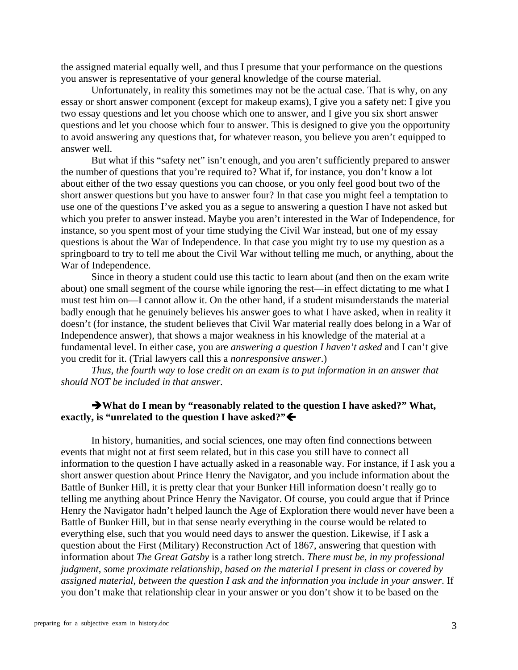the assigned material equally well, and thus I presume that your performance on the questions you answer is representative of your general knowledge of the course material.

 Unfortunately, in reality this sometimes may not be the actual case. That is why, on any essay or short answer component (except for makeup exams), I give you a safety net: I give you two essay questions and let you choose which one to answer, and I give you six short answer questions and let you choose which four to answer. This is designed to give you the opportunity to avoid answering any questions that, for whatever reason, you believe you aren't equipped to answer well.

But what if this "safety net" isn't enough, and you aren't sufficiently prepared to answer the number of questions that you're required to? What if, for instance, you don't know a lot about either of the two essay questions you can choose, or you only feel good bout two of the short answer questions but you have to answer four? In that case you might feel a temptation to use one of the questions I've asked you as a segue to answering a question I have not asked but which you prefer to answer instead. Maybe you aren't interested in the War of Independence, for instance, so you spent most of your time studying the Civil War instead, but one of my essay questions is about the War of Independence. In that case you might try to use my question as a springboard to try to tell me about the Civil War without telling me much, or anything, about the War of Independence.

 Since in theory a student could use this tactic to learn about (and then on the exam write about) one small segment of the course while ignoring the rest—in effect dictating to me what I must test him on—I cannot allow it. On the other hand, if a student misunderstands the material badly enough that he genuinely believes his answer goes to what I have asked, when in reality it doesn't (for instance, the student believes that Civil War material really does belong in a War of Independence answer), that shows a major weakness in his knowledge of the material at a fundamental level. In either case, you are *answering a question I haven't asked* and I can't give you credit for it. (Trial lawyers call this a *nonresponsive answer*.)

*Thus, the fourth way to lose credit on an exam is to put information in an answer that should NOT be included in that answer.*

## **What do I mean by "reasonably related to the question I have asked?" What, exactly, is "unrelated to the question I have asked?"**

 In history, humanities, and social sciences, one may often find connections between events that might not at first seem related, but in this case you still have to connect all information to the question I have actually asked in a reasonable way. For instance, if I ask you a short answer question about Prince Henry the Navigator, and you include information about the Battle of Bunker Hill, it is pretty clear that your Bunker Hill information doesn't really go to telling me anything about Prince Henry the Navigator. Of course, you could argue that if Prince Henry the Navigator hadn't helped launch the Age of Exploration there would never have been a Battle of Bunker Hill, but in that sense nearly everything in the course would be related to everything else, such that you would need days to answer the question. Likewise, if I ask a question about the First (Military) Reconstruction Act of 1867, answering that question with information about *The Great Gatsby* is a rather long stretch. *There must be, in my professional judgment, some proximate relationship, based on the material I present in class or covered by assigned material, between the question I ask and the information you include in your answer*. If you don't make that relationship clear in your answer or you don't show it to be based on the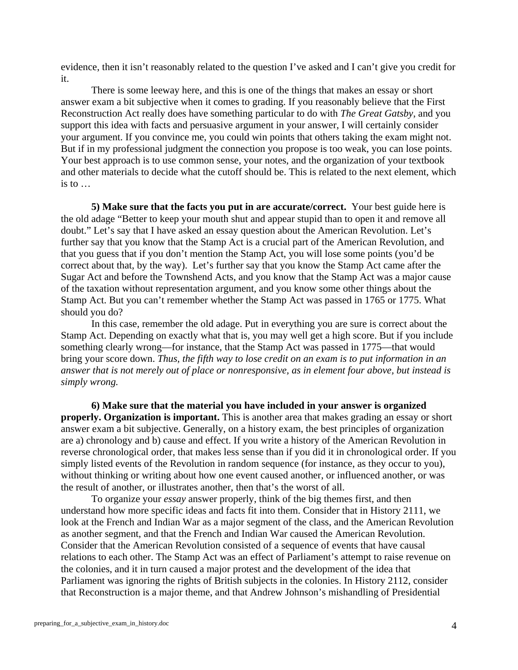evidence, then it isn't reasonably related to the question I've asked and I can't give you credit for it.

 There is some leeway here, and this is one of the things that makes an essay or short answer exam a bit subjective when it comes to grading. If you reasonably believe that the First Reconstruction Act really does have something particular to do with *The Great Gatsby*, and you support this idea with facts and persuasive argument in your answer, I will certainly consider your argument. If you convince me, you could win points that others taking the exam might not. But if in my professional judgment the connection you propose is too weak, you can lose points. Your best approach is to use common sense, your notes, and the organization of your textbook and other materials to decide what the cutoff should be. This is related to the next element, which is to …

 **5) Make sure that the facts you put in are accurate/correct.** Your best guide here is the old adage "Better to keep your mouth shut and appear stupid than to open it and remove all doubt." Let's say that I have asked an essay question about the American Revolution. Let's further say that you know that the Stamp Act is a crucial part of the American Revolution, and that you guess that if you don't mention the Stamp Act, you will lose some points (you'd be correct about that, by the way). Let's further say that you know the Stamp Act came after the Sugar Act and before the Townshend Acts, and you know that the Stamp Act was a major cause of the taxation without representation argument, and you know some other things about the Stamp Act. But you can't remember whether the Stamp Act was passed in 1765 or 1775. What should you do?

 In this case, remember the old adage. Put in everything you are sure is correct about the Stamp Act. Depending on exactly what that is, you may well get a high score. But if you include something clearly wrong—for instance, that the Stamp Act was passed in 1775—that would bring your score down. *Thus, the fifth way to lose credit on an exam is to put information in an answer that is not merely out of place or nonresponsive, as in element four above, but instead is simply wrong.*

 **6) Make sure that the material you have included in your answer is organized properly. Organization is important.** This is another area that makes grading an essay or short answer exam a bit subjective. Generally, on a history exam, the best principles of organization are a) chronology and b) cause and effect. If you write a history of the American Revolution in reverse chronological order, that makes less sense than if you did it in chronological order. If you simply listed events of the Revolution in random sequence (for instance, as they occur to you), without thinking or writing about how one event caused another, or influenced another, or was the result of another, or illustrates another, then that's the worst of all.

 To organize your *essay* answer properly, think of the big themes first, and then understand how more specific ideas and facts fit into them. Consider that in History 2111, we look at the French and Indian War as a major segment of the class, and the American Revolution as another segment, and that the French and Indian War caused the American Revolution. Consider that the American Revolution consisted of a sequence of events that have causal relations to each other. The Stamp Act was an effect of Parliament's attempt to raise revenue on the colonies, and it in turn caused a major protest and the development of the idea that Parliament was ignoring the rights of British subjects in the colonies. In History 2112, consider that Reconstruction is a major theme, and that Andrew Johnson's mishandling of Presidential